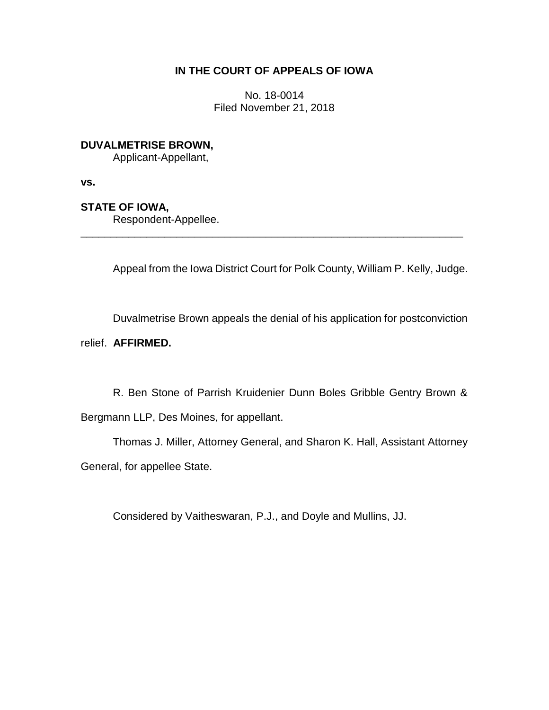# **IN THE COURT OF APPEALS OF IOWA**

No. 18-0014 Filed November 21, 2018

# **DUVALMETRISE BROWN,**

Applicant-Appellant,

**vs.**

# **STATE OF IOWA,**

Respondent-Appellee.

Appeal from the Iowa District Court for Polk County, William P. Kelly, Judge.

\_\_\_\_\_\_\_\_\_\_\_\_\_\_\_\_\_\_\_\_\_\_\_\_\_\_\_\_\_\_\_\_\_\_\_\_\_\_\_\_\_\_\_\_\_\_\_\_\_\_\_\_\_\_\_\_\_\_\_\_\_\_\_\_

Duvalmetrise Brown appeals the denial of his application for postconviction

relief. **AFFIRMED.**

R. Ben Stone of Parrish Kruidenier Dunn Boles Gribble Gentry Brown & Bergmann LLP, Des Moines, for appellant.

Thomas J. Miller, Attorney General, and Sharon K. Hall, Assistant Attorney General, for appellee State.

Considered by Vaitheswaran, P.J., and Doyle and Mullins, JJ.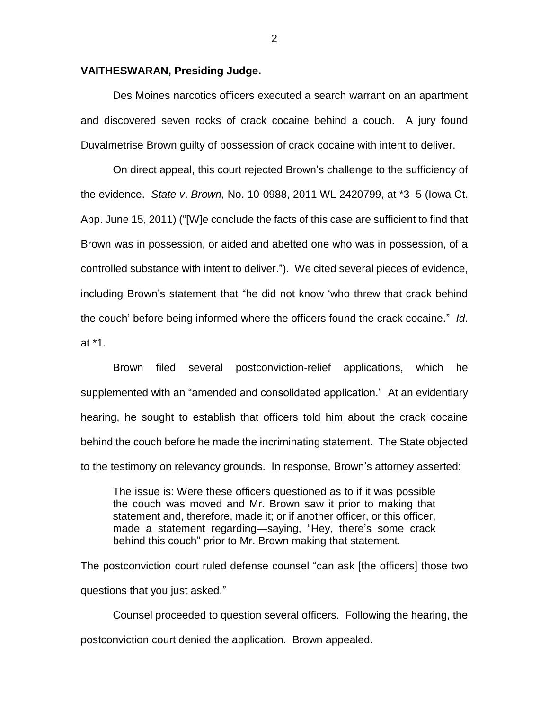#### **VAITHESWARAN, Presiding Judge.**

Des Moines narcotics officers executed a search warrant on an apartment and discovered seven rocks of crack cocaine behind a couch. A jury found Duvalmetrise Brown guilty of possession of crack cocaine with intent to deliver.

On direct appeal, this court rejected Brown's challenge to the sufficiency of the evidence. *State v*. *Brown*, No. 10-0988, 2011 WL 2420799, at \*3–5 (Iowa Ct. App. June 15, 2011) ("[W]e conclude the facts of this case are sufficient to find that Brown was in possession, or aided and abetted one who was in possession, of a controlled substance with intent to deliver."). We cited several pieces of evidence, including Brown's statement that "he did not know 'who threw that crack behind the couch' before being informed where the officers found the crack cocaine." *Id*. at \*1.

Brown filed several postconviction-relief applications, which he supplemented with an "amended and consolidated application." At an evidentiary hearing, he sought to establish that officers told him about the crack cocaine behind the couch before he made the incriminating statement. The State objected to the testimony on relevancy grounds. In response, Brown's attorney asserted:

The issue is: Were these officers questioned as to if it was possible the couch was moved and Mr. Brown saw it prior to making that statement and, therefore, made it; or if another officer, or this officer, made a statement regarding—saying, "Hey, there's some crack behind this couch" prior to Mr. Brown making that statement.

The postconviction court ruled defense counsel "can ask [the officers] those two questions that you just asked."

Counsel proceeded to question several officers. Following the hearing, the postconviction court denied the application. Brown appealed.

2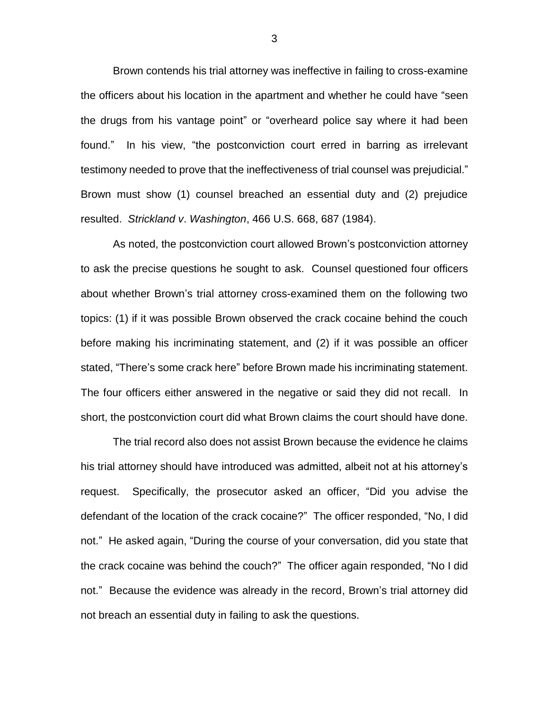Brown contends his trial attorney was ineffective in failing to cross-examine the officers about his location in the apartment and whether he could have "seen the drugs from his vantage point" or "overheard police say where it had been found." In his view, "the postconviction court erred in barring as irrelevant testimony needed to prove that the ineffectiveness of trial counsel was prejudicial." Brown must show (1) counsel breached an essential duty and (2) prejudice resulted. *Strickland v*. *Washington*, 466 U.S. 668, 687 (1984).

As noted, the postconviction court allowed Brown's postconviction attorney to ask the precise questions he sought to ask. Counsel questioned four officers about whether Brown's trial attorney cross-examined them on the following two topics: (1) if it was possible Brown observed the crack cocaine behind the couch before making his incriminating statement, and (2) if it was possible an officer stated, "There's some crack here" before Brown made his incriminating statement. The four officers either answered in the negative or said they did not recall. In short, the postconviction court did what Brown claims the court should have done.

The trial record also does not assist Brown because the evidence he claims his trial attorney should have introduced was admitted, albeit not at his attorney's request. Specifically, the prosecutor asked an officer, "Did you advise the defendant of the location of the crack cocaine?" The officer responded, "No, I did not." He asked again, "During the course of your conversation, did you state that the crack cocaine was behind the couch?" The officer again responded, "No I did not." Because the evidence was already in the record, Brown's trial attorney did not breach an essential duty in failing to ask the questions.

3